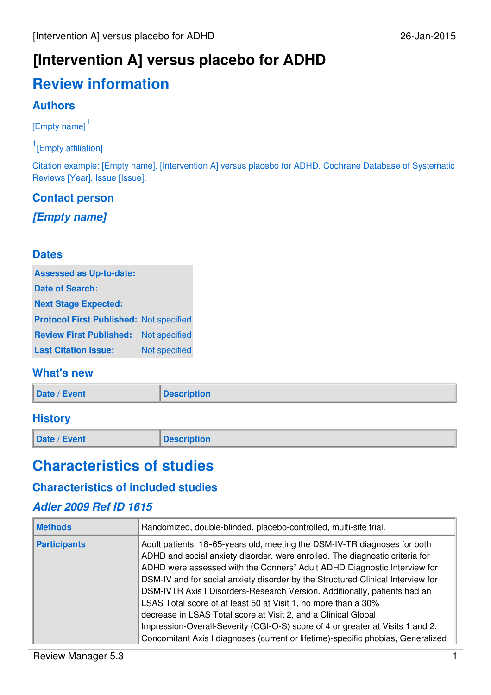# **[Intervention A] versus placebo for ADHD**

# **Review information**

### **Authors**

[Empty name]<sup>1</sup>

<sup>1</sup>[Empty affiliation]

Citation example: [Empty name]. [Intervention A] versus placebo for ADHD. Cochrane Database of Systematic Reviews [Year], Issue [Issue].

### **Contact person**

**[Empty name]**

### **Dates**

| <b>Assessed as Up-to-date:</b>                 |               |
|------------------------------------------------|---------------|
| <b>Date of Search:</b>                         |               |
| <b>Next Stage Expected:</b>                    |               |
| <b>Protocol First Published: Not specified</b> |               |
| <b>Review First Published:</b>                 | Not specified |
| <b>Last Citation Issue:</b>                    | Not specified |

### **What's new**

| Date / Event | <b>Description</b> |
|--------------|--------------------|
|              |                    |

#### **History**

**Date / Event Description** 

## **Characteristics of studies**

### **Characteristics of included studies**

### **Adler 2009 Ref ID 1615**

| <b>Methods</b>      | Randomized, double-blinded, placebo-controlled, multi-site trial.                                                                                                                                                                                                                                                                                                                                                                                                                                                                                                                                                                                                                                               |
|---------------------|-----------------------------------------------------------------------------------------------------------------------------------------------------------------------------------------------------------------------------------------------------------------------------------------------------------------------------------------------------------------------------------------------------------------------------------------------------------------------------------------------------------------------------------------------------------------------------------------------------------------------------------------------------------------------------------------------------------------|
| <b>Participants</b> | Adult patients, 18-65-years old, meeting the DSM-IV-TR diagnoses for both<br>ADHD and social anxiety disorder, were enrolled. The diagnostic criteria for<br>ADHD were assessed with the Conners' Adult ADHD Diagnostic Interview for<br>DSM-IV and for social anxiety disorder by the Structured Clinical Interview for<br>DSM-IVTR Axis I Disorders-Research Version. Additionally, patients had an<br>LSAS Total score of at least 50 at Visit 1, no more than a 30%<br>decrease in LSAS Total score at Visit 2, and a Clinical Global<br>Impression-Overall-Severity (CGI-O-S) score of 4 or greater at Visits 1 and 2.<br>Concomitant Axis I diagnoses (current or lifetime)-specific phobias, Generalized |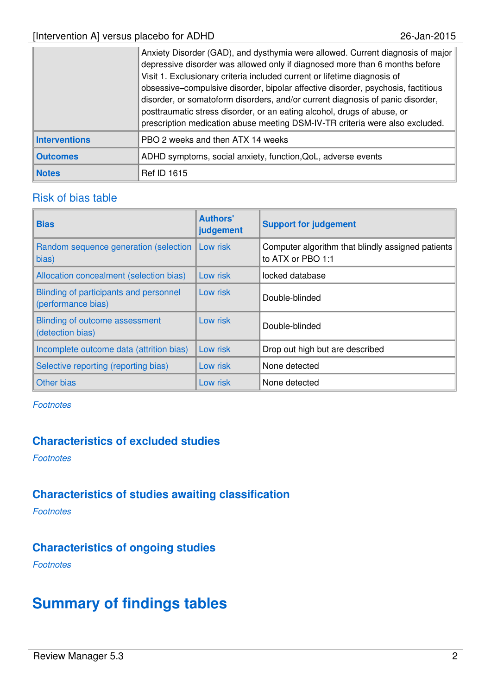|                      | Anxiety Disorder (GAD), and dysthymia were allowed. Current diagnosis of major<br>depressive disorder was allowed only if diagnosed more than 6 months before<br>Visit 1. Exclusionary criteria included current or lifetime diagnosis of<br>obsessive-compulsive disorder, bipolar affective disorder, psychosis, factitious<br>disorder, or somatoform disorders, and/or current diagnosis of panic disorder,<br>posttraumatic stress disorder, or an eating alcohol, drugs of abuse, or<br>prescription medication abuse meeting DSM-IV-TR criteria were also excluded. |  |
|----------------------|----------------------------------------------------------------------------------------------------------------------------------------------------------------------------------------------------------------------------------------------------------------------------------------------------------------------------------------------------------------------------------------------------------------------------------------------------------------------------------------------------------------------------------------------------------------------------|--|
| <b>Interventions</b> | PBO 2 weeks and then ATX 14 weeks                                                                                                                                                                                                                                                                                                                                                                                                                                                                                                                                          |  |
| <b>Outcomes</b>      | ADHD symptoms, social anxiety, function, QoL, adverse events                                                                                                                                                                                                                                                                                                                                                                                                                                                                                                               |  |
| <b>Notes</b>         | <b>Ref ID 1615</b>                                                                                                                                                                                                                                                                                                                                                                                                                                                                                                                                                         |  |

#### Risk of bias table

| <b>Bias</b>                                                  | <b>Authors'</b><br>judgement | <b>Support for judgement</b>                                           |
|--------------------------------------------------------------|------------------------------|------------------------------------------------------------------------|
| Random sequence generation (selection   Low risk<br>bias)    |                              | Computer algorithm that blindly assigned patients<br>to ATX or PBO 1:1 |
| Allocation concealment (selection bias)                      | Low risk                     | locked database                                                        |
| Blinding of participants and personnel<br>(performance bias) | Low risk                     | Double-blinded                                                         |
| Blinding of outcome assessment<br>(detection bias)           | Low risk                     | Double-blinded                                                         |
| Incomplete outcome data (attrition bias)                     | Low risk                     | Drop out high but are described                                        |
| Selective reporting (reporting bias)                         | Low risk                     | None detected                                                          |
| Other bias                                                   | Low risk                     | None detected                                                          |

**Footnotes** 

### **Characteristics of excluded studies**

**Footnotes** 

### **Characteristics of studies awaiting classification**

Footnotes

### **Characteristics of ongoing studies**

**Footnotes** 

## **Summary of findings tables**